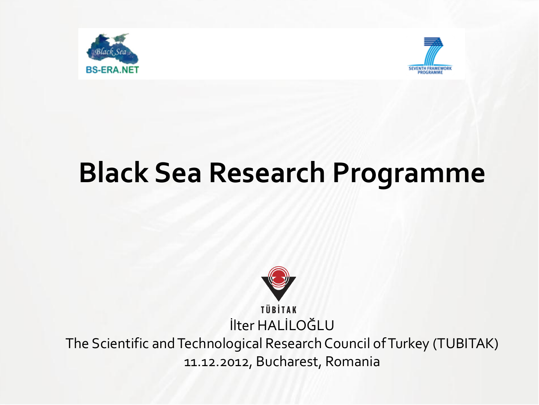



# **Black Sea Research Programme**



**TÜBİTAK** İlter HALİLOĞLU

The Scientific and Technological Research Council of Turkey (TUBITAK) 11.12.2012, Bucharest, Romania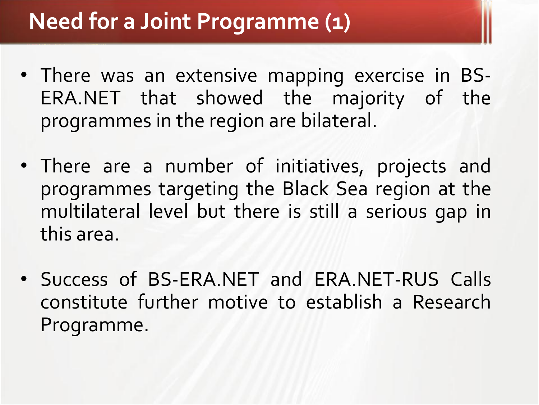## **Need for a Joint Programme (1)**

- There was an extensive mapping exercise in BS-ERA.NET that showed the majority of the programmes in the region are bilateral.
- There are a number of initiatives, projects and programmes targeting the Black Sea region at the multilateral level but there is still a serious gap in this area.
- Success of BS-ERA.NET and ERA.NET-RUS Calls constitute further motive to establish a Research Programme.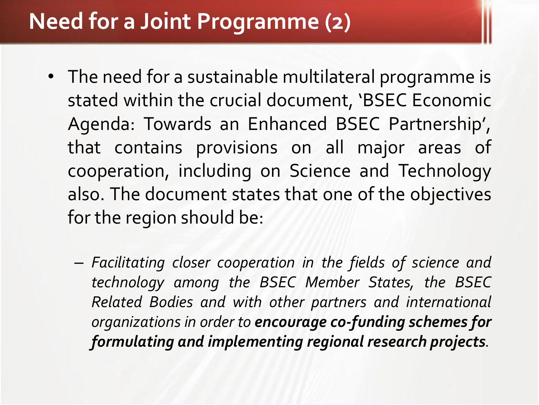## **Need for a Joint Programme (2)**

- The need for a sustainable multilateral programme is stated within the crucial document, 'BSEC Economic Agenda: Towards an Enhanced BSEC Partnership', that contains provisions on all major areas of cooperation, including on Science and Technology also. The document states that one of the objectives for the region should be:
	- *Facilitating closer cooperation in the fields of science and technology among the BSEC Member States, the BSEC Related Bodies and with other partners and international organizations in order to encourage co-funding schemes for formulating and implementing regional research projects.*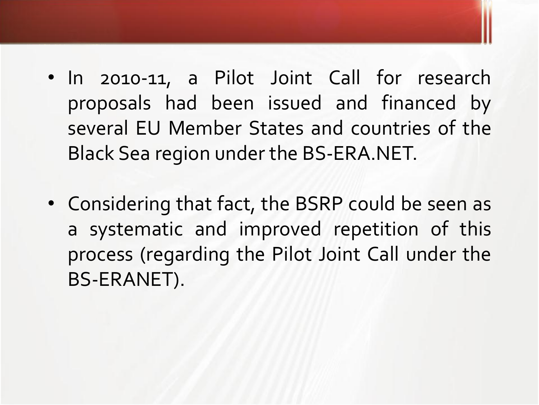- In 2010-11, a Pilot Joint Call for research proposals had been issued and financed by several EU Member States and countries of the Black Sea region under the BS-ERA.NET.
- Considering that fact, the BSRP could be seen as a systematic and improved repetition of this process (regarding the Pilot Joint Call under the BS-ERANET).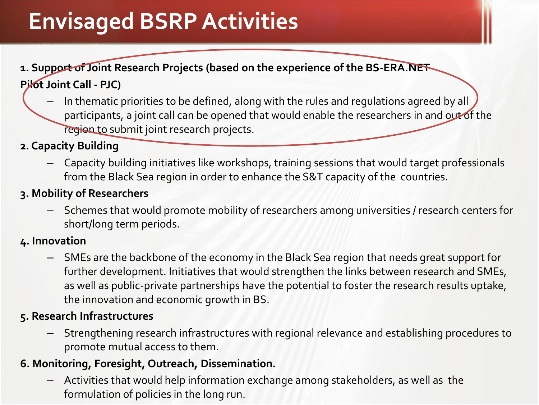## **Envisaged BSRP Activities**

#### **1. Support of Joint Research Projects (based on the experience of the BS-ERA.NET Pilot Joint Call - PJC)**

– In thematic priorities to be defined, along with the rules and regulations agreed by all participants, a joint call can be opened that would enable the researchers in and out of the region to submit joint research projects.

#### **2. Capacity Building**

– Capacity building initiatives like workshops, training sessions that would target professionals from the Black Sea region in order to enhance the S&T capacity of the countries.

#### **3. Mobility of Researchers**

– Schemes that would promote mobility of researchers among universities / research centers for short/long term periods.

#### **4. Innovation**

– SMEs are the backbone of the economy in the Black Sea region that needs great support for further development. Initiatives that would strengthen the links between research and SMEs, as well as public-private partnerships have the potential to foster the research results uptake, the innovation and economic growth in BS.

#### **5. Research Infrastructures**

– Strengthening research infrastructures with regional relevance and establishing procedures to promote mutual access to them.

#### **6. Monitoring, Foresight, Outreach, Dissemination.**

– Activities that would help information exchange among stakeholders, as well as the formulation of policies in the long run.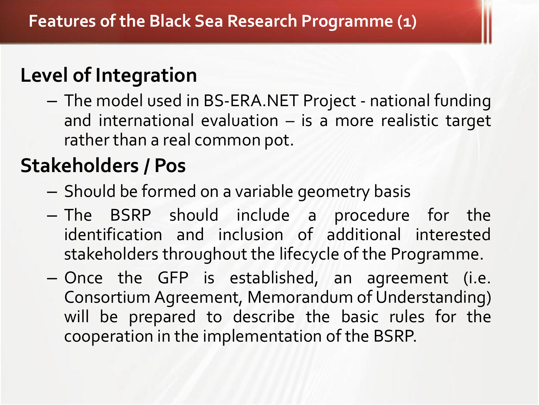## **Level of Integration**

– The model used in BS-ERA.NET Project - national funding and international evaluation – is a more realistic target rather than a real common pot.

### **Stakeholders / Pos**

- Should be formed on a variable geometry basis
- The BSRP should include a procedure for the identification and inclusion of additional interested stakeholders throughout the lifecycle of the Programme.
- Once the GFP is established, an agreement (i.e. Consortium Agreement, Memorandum of Understanding) will be prepared to describe the basic rules for the cooperation in the implementation of the BSRP.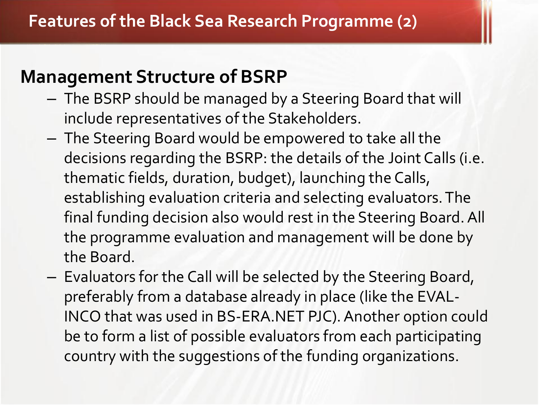### **Management Structure of BSRP**

- The BSRP should be managed by a Steering Board that will include representatives of the Stakeholders.
- The Steering Board would be empowered to take all the decisions regarding the BSRP: the details of the Joint Calls (i.e. thematic fields, duration, budget), launching the Calls, establishing evaluation criteria and selecting evaluators. The final funding decision also would rest in the Steering Board. All the programme evaluation and management will be done by the Board.
- Evaluators for the Call will be selected by the Steering Board, preferably from a database already in place (like the EVAL-INCO that was used in BS-ERA.NET PJC). Another option could be to form a list of possible evaluators from each participating country with the suggestions of the funding organizations.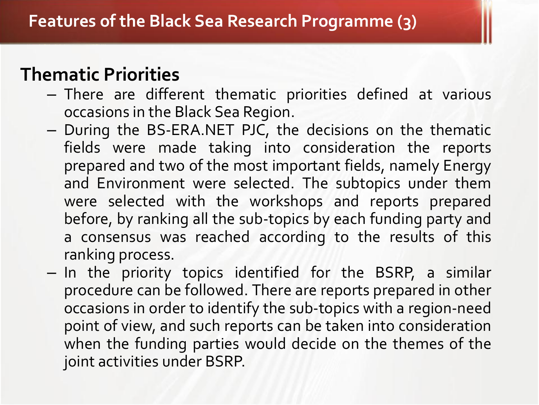### **Thematic Priorities**

- There are different thematic priorities defined at various occasions in the Black Sea Region.
- During the BS-ERA.NET PJC, the decisions on the thematic fields were made taking into consideration the reports prepared and two of the most important fields, namely Energy and Environment were selected. The subtopics under them were selected with the workshops and reports prepared before, by ranking all the sub-topics by each funding party and a consensus was reached according to the results of this ranking process.
- In the priority topics identified for the BSRP, a similar procedure can be followed. There are reports prepared in other occasions in order to identify the sub-topics with a region-need point of view, and such reports can be taken into consideration when the funding parties would decide on the themes of the joint activities under BSRP.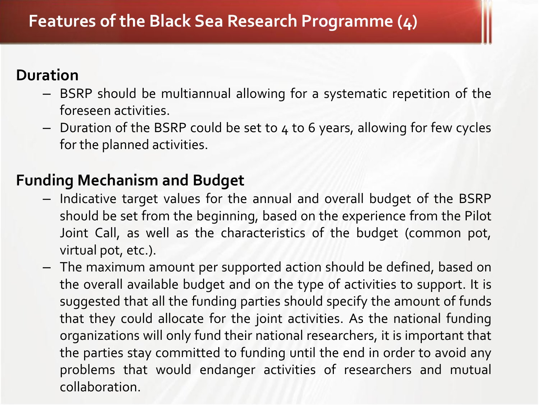#### **Duration**

- BSRP should be multiannual allowing for a systematic repetition of the foreseen activities.
- Duration of the BSRP could be set to 4 to 6 years, allowing for few cycles for the planned activities.

#### **Funding Mechanism and Budget**

- Indicative target values for the annual and overall budget of the BSRP should be set from the beginning, based on the experience from the Pilot Joint Call, as well as the characteristics of the budget (common pot, virtual pot, etc.).
- The maximum amount per supported action should be defined, based on the overall available budget and on the type of activities to support. It is suggested that all the funding parties should specify the amount of funds that they could allocate for the joint activities. As the national funding organizations will only fund their national researchers, it is important that the parties stay committed to funding until the end in order to avoid any problems that would endanger activities of researchers and mutual collaboration.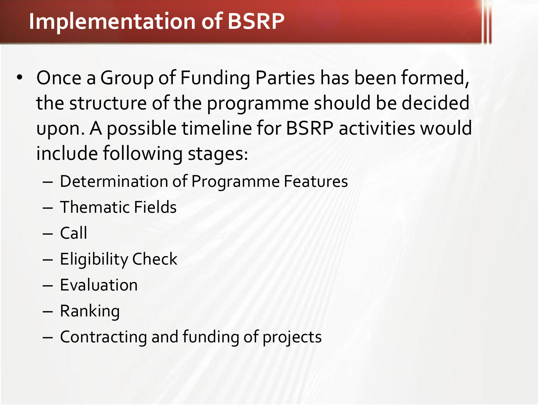- Once a Group of Funding Parties has been formed, the structure of the programme should be decided upon. A possible timeline for BSRP activities would include following stages:
	- Determination of Programme Features
	- Thematic Fields
	- Call
	- Eligibility Check
	- Evaluation
	- Ranking
	- Contracting and funding of projects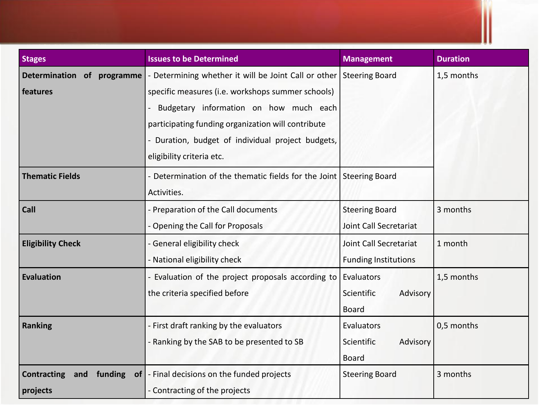| <b>Stages</b>                        | <b>Issues to be Determined</b>                                      | <b>Management</b>           | <b>Duration</b> |
|--------------------------------------|---------------------------------------------------------------------|-----------------------------|-----------------|
| Determination of programme           | - Determining whether it will be Joint Call or other Steering Board |                             | 1,5 months      |
| features                             | specific measures (i.e. workshops summer schools)                   |                             |                 |
|                                      | Budgetary information on how much each                              |                             |                 |
|                                      | participating funding organization will contribute                  |                             |                 |
|                                      | - Duration, budget of individual project budgets,                   |                             |                 |
|                                      | eligibility criteria etc.                                           |                             |                 |
| <b>Thematic Fields</b>               | - Determination of the thematic fields for the Joint Steering Board |                             |                 |
|                                      | Activities.                                                         |                             |                 |
| Call                                 | - Preparation of the Call documents                                 | <b>Steering Board</b>       | 3 months        |
|                                      | - Opening the Call for Proposals                                    | Joint Call Secretariat      |                 |
| <b>Eligibility Check</b>             | - General eligibility check                                         | Joint Call Secretariat      | 1 month         |
|                                      | - National eligibility check                                        | <b>Funding Institutions</b> |                 |
| <b>Evaluation</b>                    | - Evaluation of the project proposals according to                  | Evaluators                  | 1,5 months      |
|                                      | the criteria specified before                                       | Scientific<br>Advisory      |                 |
|                                      |                                                                     | <b>Board</b>                |                 |
| <b>Ranking</b>                       | - First draft ranking by the evaluators                             | Evaluators                  | 0,5 months      |
|                                      | - Ranking by the SAB to be presented to SB                          | Advisory<br>Scientific      |                 |
|                                      |                                                                     | <b>Board</b>                |                 |
| <b>Contracting</b><br>funding<br>and | of   - Final decisions on the funded projects                       | <b>Steering Board</b>       | 3 months        |
| projects                             | - Contracting of the projects                                       |                             |                 |